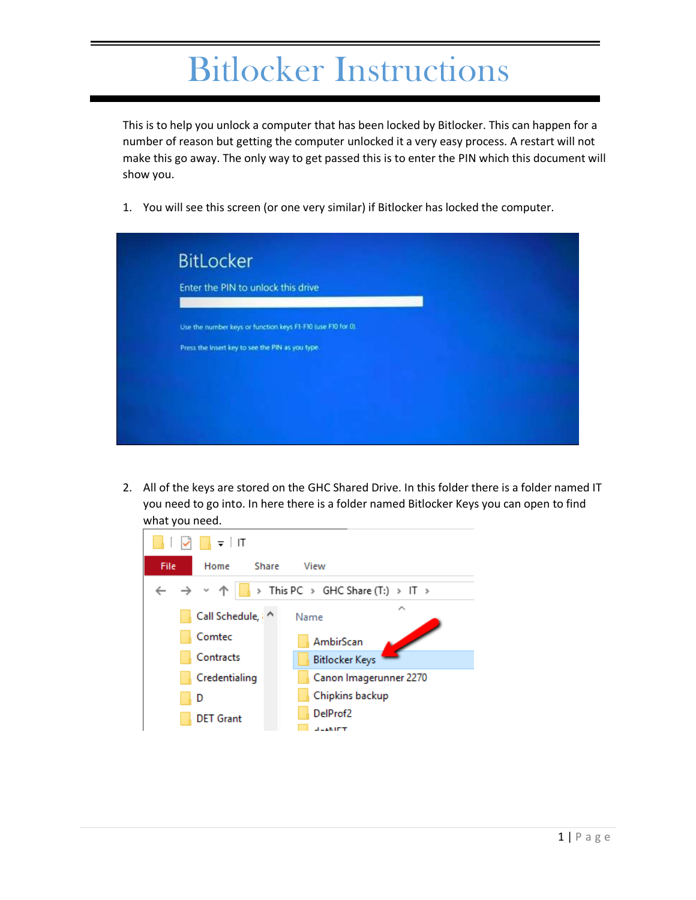## Bitlocker Instructions

This is to help you unlock a computer that has been locked by Bitlocker. This can happen for a number of reason but getting the computer unlocked it a very easy process. A restart will not make this go away. The only way to get passed this is to enter the PIN which this document will show you.

1. You will see this screen (or one very similar) if Bitlocker has locked the computer.



2. All of the keys are stored on the GHC Shared Drive. In this folder there is a folder named IT you need to go into. In here there is a folder named Bitlocker Keys you can open to find what you need.